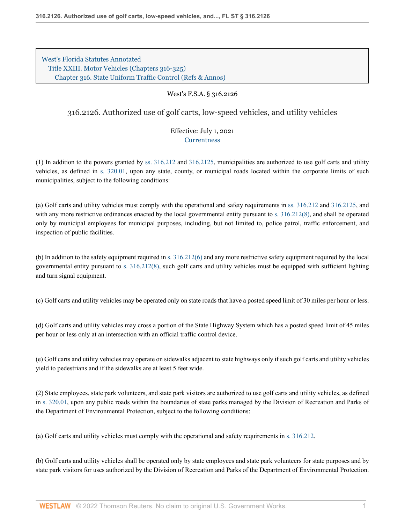[West's Florida Statutes Annotated](http://www.westlaw.com/Browse/Home/StatutesCourtRules/FloridaStatutesCourtRules?transitionType=DocumentItem&contextData=(sc.Search)&rs=clbt1.0&vr=3.0) [Title XXIII. Motor Vehicles \(Chapters 316-325\)](http://www.westlaw.com/Browse/Home/StatutesCourtRules/FloridaStatutesCourtRules?guid=NB4ECE3554D294CB3A22C79C5285A8631&transitionType=DocumentItem&contextData=(sc.Search)&rs=clbt1.0&vr=3.0) [Chapter 316. State Uniform Traffic Control](http://www.westlaw.com/Browse/Home/StatutesCourtRules/FloridaStatutesCourtRules?guid=N040270AB42814F038E178D73BBB070BD&transitionType=DocumentItem&contextData=(sc.Search)&rs=clbt1.0&vr=3.0) [\(Refs & Annos\)](http://www.westlaw.com/Link/Document/FullText?findType=l&cite=lk(FLSTTXXIIIC316R)&originatingDoc=N09E0AEB0DEC711EBB999A3C52DA54ECC&refType=CM&sourceCite=West%27s+F.S.A.+%c2%a7+316.2126&originationContext=document&vr=3.0&rs=cblt1.0&transitionType=DocumentItem&pubNum=1000006&contextData=(sc.Search))

## West's F.S.A. § 316.2126

# 316.2126. Authorized use of golf carts, low-speed vehicles, and utility vehicles

## Effective: July 1, 2021 **[Currentness](#page-2-0)**

(1) In addition to the powers granted by [ss. 316.212](http://www.westlaw.com/Link/Document/FullText?findType=L&pubNum=1000006&cite=FLSTS316.212&originatingDoc=N09E0AEB0DEC711EBB999A3C52DA54ECC&refType=LQ&originationContext=document&vr=3.0&rs=cblt1.0&transitionType=DocumentItem&contextData=(sc.Search)) and [316.2125](http://www.westlaw.com/Link/Document/FullText?findType=L&pubNum=1000006&cite=FLSTS316.2125&originatingDoc=N09E0AEB0DEC711EBB999A3C52DA54ECC&refType=LQ&originationContext=document&vr=3.0&rs=cblt1.0&transitionType=DocumentItem&contextData=(sc.Search)), municipalities are authorized to use golf carts and utility vehicles, as defined in [s. 320.01,](http://www.westlaw.com/Link/Document/FullText?findType=L&pubNum=1000006&cite=FLSTS320.01&originatingDoc=N09E0AEB0DEC711EBB999A3C52DA54ECC&refType=LQ&originationContext=document&vr=3.0&rs=cblt1.0&transitionType=DocumentItem&contextData=(sc.Search)) upon any state, county, or municipal roads located within the corporate limits of such municipalities, subject to the following conditions:

(a) Golf carts and utility vehicles must comply with the operational and safety requirements in [ss. 316.212](http://www.westlaw.com/Link/Document/FullText?findType=L&pubNum=1000006&cite=FLSTS316.212&originatingDoc=N09E0AEB0DEC711EBB999A3C52DA54ECC&refType=LQ&originationContext=document&vr=3.0&rs=cblt1.0&transitionType=DocumentItem&contextData=(sc.Search)) and [316.2125](http://www.westlaw.com/Link/Document/FullText?findType=L&pubNum=1000006&cite=FLSTS316.2125&originatingDoc=N09E0AEB0DEC711EBB999A3C52DA54ECC&refType=LQ&originationContext=document&vr=3.0&rs=cblt1.0&transitionType=DocumentItem&contextData=(sc.Search)), and with any more restrictive ordinances enacted by the local governmental entity pursuant to [s. 316.212\(8\)](http://www.westlaw.com/Link/Document/FullText?findType=L&pubNum=1000006&cite=FLSTS316.212&originatingDoc=N09E0AEB0DEC711EBB999A3C52DA54ECC&refType=SP&originationContext=document&vr=3.0&rs=cblt1.0&transitionType=DocumentItem&contextData=(sc.Search)#co_pp_23450000ab4d2), and shall be operated only by municipal employees for municipal purposes, including, but not limited to, police patrol, traffic enforcement, and inspection of public facilities.

(b) In addition to the safety equipment required in [s. 316.212\(6\)](http://www.westlaw.com/Link/Document/FullText?findType=L&pubNum=1000006&cite=FLSTS316.212&originatingDoc=N09E0AEB0DEC711EBB999A3C52DA54ECC&refType=SP&originationContext=document&vr=3.0&rs=cblt1.0&transitionType=DocumentItem&contextData=(sc.Search)#co_pp_1e9a0000fd6a3) and any more restrictive safety equipment required by the local governmental entity pursuant to [s. 316.212\(8\),](http://www.westlaw.com/Link/Document/FullText?findType=L&pubNum=1000006&cite=FLSTS316.212&originatingDoc=N09E0AEB0DEC711EBB999A3C52DA54ECC&refType=SP&originationContext=document&vr=3.0&rs=cblt1.0&transitionType=DocumentItem&contextData=(sc.Search)#co_pp_23450000ab4d2) such golf carts and utility vehicles must be equipped with sufficient lighting and turn signal equipment.

(c) Golf carts and utility vehicles may be operated only on state roads that have a posted speed limit of 30 miles per hour or less.

(d) Golf carts and utility vehicles may cross a portion of the State Highway System which has a posted speed limit of 45 miles per hour or less only at an intersection with an official traffic control device.

(e) Golf carts and utility vehicles may operate on sidewalks adjacent to state highways only if such golf carts and utility vehicles yield to pedestrians and if the sidewalks are at least 5 feet wide.

(2) State employees, state park volunteers, and state park visitors are authorized to use golf carts and utility vehicles, as defined in [s. 320.01](http://www.westlaw.com/Link/Document/FullText?findType=L&pubNum=1000006&cite=FLSTS320.01&originatingDoc=N09E0AEB0DEC711EBB999A3C52DA54ECC&refType=LQ&originationContext=document&vr=3.0&rs=cblt1.0&transitionType=DocumentItem&contextData=(sc.Search)), upon any public roads within the boundaries of state parks managed by the Division of Recreation and Parks of the Department of Environmental Protection, subject to the following conditions:

(a) Golf carts and utility vehicles must comply with the operational and safety requirements in [s. 316.212.](http://www.westlaw.com/Link/Document/FullText?findType=L&pubNum=1000006&cite=FLSTS316.212&originatingDoc=N09E0AEB0DEC711EBB999A3C52DA54ECC&refType=LQ&originationContext=document&vr=3.0&rs=cblt1.0&transitionType=DocumentItem&contextData=(sc.Search))

(b) Golf carts and utility vehicles shall be operated only by state employees and state park volunteers for state purposes and by state park visitors for uses authorized by the Division of Recreation and Parks of the Department of Environmental Protection.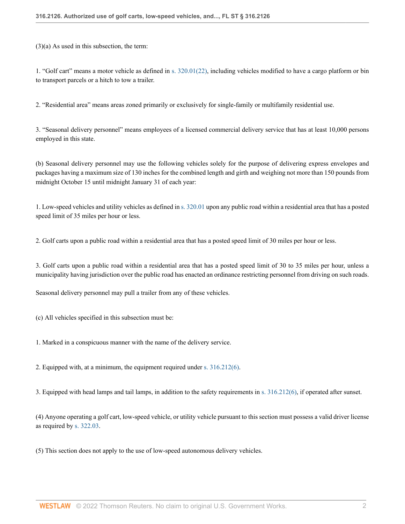(3)(a) As used in this subsection, the term:

1. "Golf cart" means a motor vehicle as defined in [s. 320.01\(22\)](http://www.westlaw.com/Link/Document/FullText?findType=L&pubNum=1000006&cite=FLSTS320.01&originatingDoc=N09E0AEB0DEC711EBB999A3C52DA54ECC&refType=SP&originationContext=document&vr=3.0&rs=cblt1.0&transitionType=DocumentItem&contextData=(sc.Search)#co_pp_721e00002e3b1), including vehicles modified to have a cargo platform or bin to transport parcels or a hitch to tow a trailer.

2. "Residential area" means areas zoned primarily or exclusively for single-family or multifamily residential use.

3. "Seasonal delivery personnel" means employees of a licensed commercial delivery service that has at least 10,000 persons employed in this state.

(b) Seasonal delivery personnel may use the following vehicles solely for the purpose of delivering express envelopes and packages having a maximum size of 130 inches for the combined length and girth and weighing not more than 150 pounds from midnight October 15 until midnight January 31 of each year:

1. Low-speed vehicles and utility vehicles as defined in [s. 320.01](http://www.westlaw.com/Link/Document/FullText?findType=L&pubNum=1000006&cite=FLSTS320.01&originatingDoc=N09E0AEB0DEC711EBB999A3C52DA54ECC&refType=LQ&originationContext=document&vr=3.0&rs=cblt1.0&transitionType=DocumentItem&contextData=(sc.Search)) upon any public road within a residential area that has a posted speed limit of 35 miles per hour or less.

2. Golf carts upon a public road within a residential area that has a posted speed limit of 30 miles per hour or less.

3. Golf carts upon a public road within a residential area that has a posted speed limit of 30 to 35 miles per hour, unless a municipality having jurisdiction over the public road has enacted an ordinance restricting personnel from driving on such roads.

Seasonal delivery personnel may pull a trailer from any of these vehicles.

(c) All vehicles specified in this subsection must be:

1. Marked in a conspicuous manner with the name of the delivery service.

2. Equipped with, at a minimum, the equipment required under [s. 316.212\(6\).](http://www.westlaw.com/Link/Document/FullText?findType=L&pubNum=1000006&cite=FLSTS316.212&originatingDoc=N09E0AEB0DEC711EBB999A3C52DA54ECC&refType=SP&originationContext=document&vr=3.0&rs=cblt1.0&transitionType=DocumentItem&contextData=(sc.Search)#co_pp_1e9a0000fd6a3)

3. Equipped with head lamps and tail lamps, in addition to the safety requirements in [s. 316.212\(6\),](http://www.westlaw.com/Link/Document/FullText?findType=L&pubNum=1000006&cite=FLSTS316.212&originatingDoc=N09E0AEB0DEC711EBB999A3C52DA54ECC&refType=SP&originationContext=document&vr=3.0&rs=cblt1.0&transitionType=DocumentItem&contextData=(sc.Search)#co_pp_1e9a0000fd6a3) if operated after sunset.

(4) Anyone operating a golf cart, low-speed vehicle, or utility vehicle pursuant to this section must possess a valid driver license as required by [s. 322.03.](http://www.westlaw.com/Link/Document/FullText?findType=L&pubNum=1000006&cite=FLSTS322.03&originatingDoc=N09E0AEB0DEC711EBB999A3C52DA54ECC&refType=LQ&originationContext=document&vr=3.0&rs=cblt1.0&transitionType=DocumentItem&contextData=(sc.Search))

(5) This section does not apply to the use of low-speed autonomous delivery vehicles.